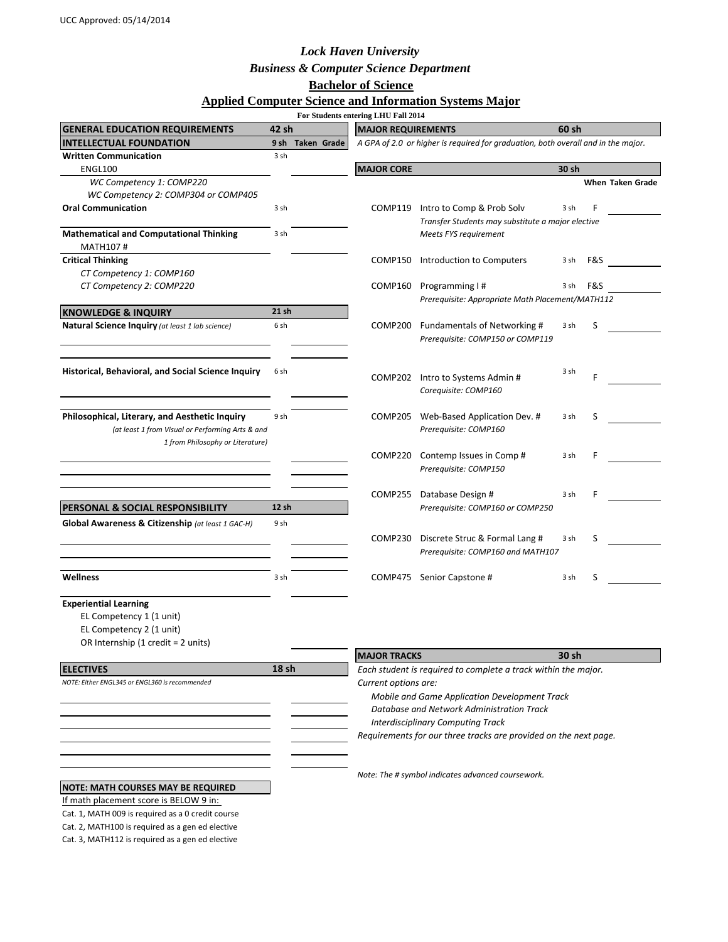## *Lock Haven University*

*Business & Computer Science Department*

# **Bachelor of Science**

# **Applied Computer Science and Information Systems Major**

|                                                                                                                            |       |                  | For Students entering LHU Fall 2014                                                                                                                       |                                                                                   |       |       |                  |  |
|----------------------------------------------------------------------------------------------------------------------------|-------|------------------|-----------------------------------------------------------------------------------------------------------------------------------------------------------|-----------------------------------------------------------------------------------|-------|-------|------------------|--|
| <b>GENERAL EDUCATION REQUIREMENTS</b>                                                                                      | 42 sh |                  | <b>MAJOR REQUIREMENTS</b>                                                                                                                                 |                                                                                   |       | 60 sh |                  |  |
| <b>INTELLECTUAL FOUNDATION</b>                                                                                             |       | 9 sh Taken Grade |                                                                                                                                                           | A GPA of 2.0 or higher is required for graduation, both overall and in the major. |       |       |                  |  |
| <b>Written Communication</b>                                                                                               | 3 sh  |                  |                                                                                                                                                           |                                                                                   |       |       |                  |  |
| <b>ENGL100</b><br>WC Competency 1: COMP220                                                                                 |       |                  | <b>MAJOR CORE</b>                                                                                                                                         |                                                                                   | 30 sh |       | When Taken Grade |  |
| WC Competency 2: COMP304 or COMP405                                                                                        |       |                  |                                                                                                                                                           |                                                                                   |       |       |                  |  |
| <b>Oral Communication</b>                                                                                                  | 3 sh  |                  | COMP119                                                                                                                                                   | Intro to Comp & Prob Solv                                                         | 3 sh  | F     |                  |  |
|                                                                                                                            |       |                  |                                                                                                                                                           | Transfer Students may substitute a major elective                                 |       |       |                  |  |
| <b>Mathematical and Computational Thinking</b><br>MATH107#                                                                 | 3 sh  |                  |                                                                                                                                                           | Meets FYS requirement                                                             |       |       |                  |  |
| <b>Critical Thinking</b>                                                                                                   |       |                  | COMP150                                                                                                                                                   | Introduction to Computers                                                         | 3 sh  | F&S   |                  |  |
| CT Competency 1: COMP160                                                                                                   |       |                  |                                                                                                                                                           |                                                                                   |       |       |                  |  |
| CT Competency 2: COMP220                                                                                                   |       |                  | COMP160                                                                                                                                                   | Programming I#                                                                    | 3 sh  | F&S   |                  |  |
|                                                                                                                            |       |                  |                                                                                                                                                           | Prerequisite: Appropriate Math Placement/MATH112                                  |       |       |                  |  |
| <b>KNOWLEDGE &amp; INQUIRY</b>                                                                                             | 21 sh |                  |                                                                                                                                                           |                                                                                   |       |       |                  |  |
| Natural Science Inquiry (at least 1 lab science)                                                                           | 6 sh  |                  | COMP200                                                                                                                                                   | Fundamentals of Networking #<br>Prerequisite: COMP150 or COMP119                  | 3 sh  | S     |                  |  |
| Historical, Behavioral, and Social Science Inquiry                                                                         | 6 sh  |                  |                                                                                                                                                           | COMP202 Intro to Systems Admin #<br>Corequisite: COMP160                          | 3 sh  | F     |                  |  |
|                                                                                                                            |       |                  |                                                                                                                                                           |                                                                                   |       |       |                  |  |
| Philosophical, Literary, and Aesthetic Inquiry                                                                             | 9 sh  |                  | COMP205                                                                                                                                                   | Web-Based Application Dev. #                                                      | 3 sh  | S     |                  |  |
| (at least 1 from Visual or Performing Arts & and<br>1 from Philosophy or Literature)                                       |       |                  |                                                                                                                                                           | Prerequisite: COMP160                                                             |       |       |                  |  |
|                                                                                                                            |       |                  | COMP220                                                                                                                                                   | Contemp Issues in Comp#                                                           | 3 sh  | F     |                  |  |
|                                                                                                                            |       |                  |                                                                                                                                                           | Prerequisite: COMP150                                                             |       |       |                  |  |
|                                                                                                                            |       |                  |                                                                                                                                                           |                                                                                   |       |       |                  |  |
|                                                                                                                            |       |                  | COMP255                                                                                                                                                   | Database Design #                                                                 | 3 sh  | F     |                  |  |
| PERSONAL & SOCIAL RESPONSIBILITY                                                                                           | 12 sh |                  |                                                                                                                                                           | Prerequisite: COMP160 or COMP250                                                  |       |       |                  |  |
| Global Awareness & Citizenship (at least 1 GAC-H)                                                                          | 9 sh  |                  |                                                                                                                                                           |                                                                                   |       |       |                  |  |
|                                                                                                                            |       |                  | COMP230                                                                                                                                                   | Discrete Struc & Formal Lang #                                                    | 3 sh  | S     |                  |  |
|                                                                                                                            |       |                  |                                                                                                                                                           | Prerequisite: COMP160 and MATH107                                                 |       |       |                  |  |
|                                                                                                                            |       |                  |                                                                                                                                                           |                                                                                   |       |       |                  |  |
| <b>Wellness</b>                                                                                                            | 3 sh  |                  |                                                                                                                                                           | COMP475 Senior Capstone #                                                         | 3 sh  | S     |                  |  |
| <b>Experiential Learning</b><br>EL Competency 1 (1 unit)<br>EL Competency 2 (1 unit)<br>OR Internship (1 credit = 2 units) |       |                  |                                                                                                                                                           |                                                                                   |       |       |                  |  |
|                                                                                                                            |       |                  | <b>MAJOR TRACKS</b>                                                                                                                                       |                                                                                   | 30 sh |       |                  |  |
| <b>ELECTIVES</b>                                                                                                           | 18 sh |                  |                                                                                                                                                           | Each student is required to complete a track within the major.                    |       |       |                  |  |
| NOTE: Either ENGL345 or ENGL360 is recommended                                                                             |       |                  | Current options are:                                                                                                                                      |                                                                                   |       |       |                  |  |
|                                                                                                                            |       |                  | Mobile and Game Application Development Track                                                                                                             |                                                                                   |       |       |                  |  |
|                                                                                                                            |       |                  | Database and Network Administration Track<br><b>Interdisciplinary Computing Track</b><br>Requirements for our three tracks are provided on the next page. |                                                                                   |       |       |                  |  |
|                                                                                                                            |       |                  |                                                                                                                                                           |                                                                                   |       |       |                  |  |
|                                                                                                                            |       |                  |                                                                                                                                                           |                                                                                   |       |       |                  |  |
|                                                                                                                            |       |                  |                                                                                                                                                           |                                                                                   |       |       |                  |  |
|                                                                                                                            |       |                  | Note: The # symbol indicates advanced coursework.                                                                                                         |                                                                                   |       |       |                  |  |
| <b>NOTE: MATH COURSES MAY BE REQUIRED</b>                                                                                  |       |                  |                                                                                                                                                           |                                                                                   |       |       |                  |  |
| If math placement score is BELOW 9 in:                                                                                     |       |                  |                                                                                                                                                           |                                                                                   |       |       |                  |  |
| Cat. 1, MATH 009 is required as a 0 credit course                                                                          |       |                  |                                                                                                                                                           |                                                                                   |       |       |                  |  |
| Cat. 2, MATH100 is required as a gen ed elective                                                                           |       |                  |                                                                                                                                                           |                                                                                   |       |       |                  |  |

Cat. 3, MATH112 is required as a gen ed elective